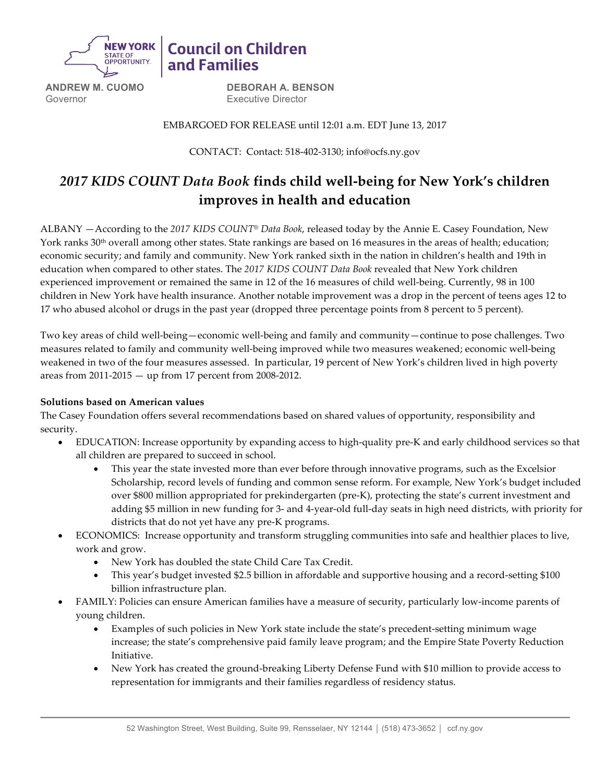

**ANDREW M. CUOMO** Governor

**DEBORAH A. BENSON** Executive Director

**Council on Children** 

and Families

EMBARGOED FOR RELEASE until 12:01 a.m. EDT June 13, 2017

CONTACT: Contact: 518-402-3130; info@ocfs.ny.gov

# *2017 KIDS COUNT Data Book* **finds child well-being for New York's children improves in health and education**

ALBANY —According to the *2017 KIDS COUNT® Data Book*, released today by the Annie E. Casey Foundation, New York ranks 30<sup>th</sup> overall among other states. State rankings are based on 16 measures in the areas of health; education; economic security; and family and community. New York ranked sixth in the nation in children's health and 19th in education when compared to other states. The *2017 KIDS COUNT Data Book* revealed that New York children experienced improvement or remained the same in 12 of the 16 measures of child well-being. Currently, 98 in 100 children in New York have health insurance. Another notable improvement was a drop in the percent of teens ages 12 to 17 who abused alcohol or drugs in the past year (dropped three percentage points from 8 percent to 5 percent).

Two key areas of child well-being—economic well-being and family and community—continue to pose challenges. Two measures related to family and community well-being improved while two measures weakened; economic well-being weakened in two of the four measures assessed. In particular, 19 percent of New York's children lived in high poverty areas from 2011-2015 — up from 17 percent from 2008-2012.

# **Solutions based on American values**

The Casey Foundation offers several recommendations based on shared values of opportunity, responsibility and security.

- EDUCATION: Increase opportunity by expanding access to high-quality pre-K and early childhood services so that all children are prepared to succeed in school.
	- This year the state invested more than ever before through innovative programs, such as the Excelsior Scholarship, record levels of funding and common sense reform. For example, New York's budget included over \$800 million appropriated for prekindergarten (pre-K), protecting the state's current investment and adding \$5 million in new funding for 3- and 4-year-old full-day seats in high need districts, with priority for districts that do not yet have any pre-K programs.
- ECONOMICS: Increase opportunity and transform struggling communities into safe and healthier places to live, work and grow.
	- New York has doubled the state Child Care Tax Credit.
	- This year's budget invested \$2.5 billion in affordable and supportive housing and a record-setting \$100 billion infrastructure plan.
- FAMILY: Policies can ensure American families have a measure of security, particularly low-income parents of young children.
	- Examples of such policies in New York state include the state's precedent-setting minimum wage increase; the state's comprehensive paid family leave program; and the Empire State Poverty Reduction Initiative.
	- New York has created the ground-breaking Liberty Defense Fund with \$10 million to provide access to representation for immigrants and their families regardless of residency status.